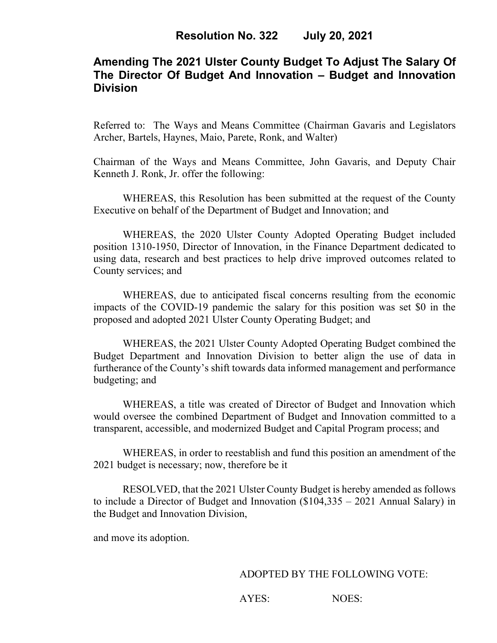# **Amending The 2021 Ulster County Budget To Adjust The Salary Of The Director Of Budget And Innovation – Budget and Innovation Division**

Referred to: The Ways and Means Committee (Chairman Gavaris and Legislators Archer, Bartels, Haynes, Maio, Parete, Ronk, and Walter)

Chairman of the Ways and Means Committee, John Gavaris, and Deputy Chair Kenneth J. Ronk, Jr. offer the following:

WHEREAS, this Resolution has been submitted at the request of the County Executive on behalf of the Department of Budget and Innovation; and

WHEREAS, the 2020 Ulster County Adopted Operating Budget included position 1310-1950, Director of Innovation, in the Finance Department dedicated to using data, research and best practices to help drive improved outcomes related to County services; and

WHEREAS, due to anticipated fiscal concerns resulting from the economic impacts of the COVID-19 pandemic the salary for this position was set \$0 in the proposed and adopted 2021 Ulster County Operating Budget; and

WHEREAS, the 2021 Ulster County Adopted Operating Budget combined the Budget Department and Innovation Division to better align the use of data in furtherance of the County's shift towards data informed management and performance budgeting; and

WHEREAS, a title was created of Director of Budget and Innovation which would oversee the combined Department of Budget and Innovation committed to a transparent, accessible, and modernized Budget and Capital Program process; and

WHEREAS, in order to reestablish and fund this position an amendment of the 2021 budget is necessary; now, therefore be it

RESOLVED, that the 2021 Ulster County Budget is hereby amended as follows to include a Director of Budget and Innovation (\$104,335 – 2021 Annual Salary) in the Budget and Innovation Division,

and move its adoption.

#### ADOPTED BY THE FOLLOWING VOTE:

AYES: NOES: